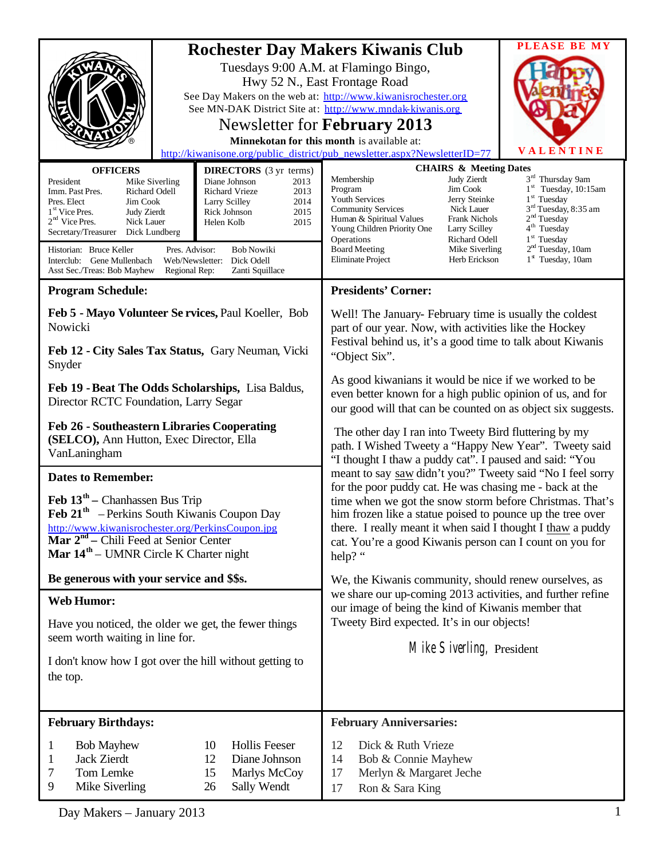| <b>Rochester Day Makers Kiwanis Club</b><br>See MN-DAK District Site at: http://www.mndak-kiwanis.org  |                                                |                                                                                                                                                                                                                                                             | <b>PLEASE BE MY</b>                                |
|--------------------------------------------------------------------------------------------------------|------------------------------------------------|-------------------------------------------------------------------------------------------------------------------------------------------------------------------------------------------------------------------------------------------------------------|----------------------------------------------------|
|                                                                                                        |                                                | Tuesdays 9:00 A.M. at Flamingo Bingo,                                                                                                                                                                                                                       |                                                    |
|                                                                                                        |                                                | Hwy 52 N., East Frontage Road                                                                                                                                                                                                                               |                                                    |
|                                                                                                        |                                                | See Day Makers on the web at: http://www.kiwanisrochester.org                                                                                                                                                                                               |                                                    |
|                                                                                                        |                                                |                                                                                                                                                                                                                                                             |                                                    |
|                                                                                                        |                                                | Newsletter for February 2013                                                                                                                                                                                                                                |                                                    |
|                                                                                                        |                                                | Minnekotan for this month is available at:                                                                                                                                                                                                                  | VALENTINE                                          |
| http://kiwanisone.org/public_district/pub_newsletter.aspx?NewsletterID=77                              |                                                |                                                                                                                                                                                                                                                             |                                                    |
| <b>OFFICERS</b><br>President                                                                           | <b>DIRECTORS</b> (3 yr terms)<br>Diane Johnson | <b>CHAIRS &amp; Meeting Dates</b><br>Judy Zierdt<br>Membership                                                                                                                                                                                              | 3rd Thursday 9am                                   |
| Mike Siverling<br><b>Richard Odell</b><br>Imm. Past Pres.                                              | 2013<br>Richard Vrieze<br>2013                 | Jim Cook<br>Program                                                                                                                                                                                                                                         | $1st$ Tuesday, 10:15am                             |
| Pres. Elect<br>Jim Cook                                                                                | 2014<br>Larry Scilley                          | Youth Services<br>Jerry Steinke<br>Nick Lauer<br><b>Community Services</b>                                                                                                                                                                                  | $1st$ Tuesday<br>3 <sup>rd</sup> Tuesday, 8:35 am  |
| 1 <sup>st</sup> Vice Pres.<br>Judy Zierdt<br>$2nd$ Vice Pres.<br>Nick Lauer                            | 2015<br>Rick Johnson<br>2015<br>Helen Kolb     | <b>Frank Nichols</b><br>Human & Spiritual Values                                                                                                                                                                                                            | 2 <sup>nd</sup> Tuesday                            |
| Secretary/Treasurer<br>Dick Lundberg                                                                   |                                                | Young Children Priority One<br>Larry Scilley<br>Operations<br>Richard Odell                                                                                                                                                                                 | 4 <sup>th</sup> Tuesday<br>1 <sup>st</sup> Tuesday |
| Historian: Bruce Keller<br><b>Bob Nowiki</b><br>Pres. Advisor:                                         |                                                | <b>Board Meeting</b><br>Mike Siverling                                                                                                                                                                                                                      | 2 <sup>nd</sup> Tuesday, 10am                      |
| Dick Odell<br>Interclub: Gene Mullenbach<br>Web/Newsletter:                                            |                                                | Eliminate Project<br>Herb Erickson                                                                                                                                                                                                                          | 1 <sup>st</sup> Tuesday, 10am                      |
| Asst Sec./Treas: Bob Mayhew<br>Regional Rep:<br>Zanti Squillace                                        |                                                |                                                                                                                                                                                                                                                             |                                                    |
| <b>Program Schedule:</b>                                                                               |                                                | <b>Presidents' Corner:</b>                                                                                                                                                                                                                                  |                                                    |
| Feb 5 - Mayo Volunteer Se rvices, Paul Koeller, Bob<br>Nowicki                                         |                                                | Well! The January-February time is usually the coldest<br>part of our year. Now, with activities like the Hockey<br>Festival behind us, it's a good time to talk about Kiwanis<br>"Object Six".                                                             |                                                    |
|                                                                                                        |                                                |                                                                                                                                                                                                                                                             |                                                    |
| Feb 12 - City Sales Tax Status, Gary Neuman, Vicki<br>Snyder                                           |                                                |                                                                                                                                                                                                                                                             |                                                    |
|                                                                                                        |                                                |                                                                                                                                                                                                                                                             |                                                    |
| Feb 19 - Beat The Odds Scholarships, Lisa Baldus,                                                      |                                                | even better known for a high public opinion of us, and for                                                                                                                                                                                                  |                                                    |
| Director RCTC Foundation, Larry Segar                                                                  |                                                | our good will that can be counted on as object six suggests.                                                                                                                                                                                                |                                                    |
| <b>Feb 26 - Southeastern Libraries Cooperating</b>                                                     |                                                |                                                                                                                                                                                                                                                             |                                                    |
| (SELCO), Ann Hutton, Exec Director, Ella                                                               |                                                | The other day I ran into Tweety Bird fluttering by my<br>path. I Wished Tweety a "Happy New Year". Tweety said<br>"I thought I thaw a puddy cat". I paused and said: "You<br>meant to say saw didn't you?" Tweety said "No I feel sorry                     |                                                    |
| VanLaningham                                                                                           |                                                |                                                                                                                                                                                                                                                             |                                                    |
| <b>Dates to Remember:</b>                                                                              |                                                |                                                                                                                                                                                                                                                             |                                                    |
|                                                                                                        |                                                | for the poor puddy cat. He was chasing me - back at the                                                                                                                                                                                                     |                                                    |
| Feb $13th$ – Chanhassen Bus Trip                                                                       |                                                | time when we got the snow storm before Christmas. That's<br>him frozen like a statue poised to pounce up the tree over<br>there. I really meant it when said I thought I thaw a puddy<br>cat. You're a good Kiwanis person can I count on you for<br>help?" |                                                    |
| Feb 21 <sup>th</sup> – Perkins South Kiwanis Coupon Day                                                |                                                |                                                                                                                                                                                                                                                             |                                                    |
| http://www.kiwanisrochester.org/PerkinsCoupon.jpg<br>Mar 2 <sup>nd</sup> – Chili Feed at Senior Center |                                                |                                                                                                                                                                                                                                                             |                                                    |
| <b>Mar <math>14^{\text{th}}</math></b> – UMNR Circle K Charter night                                   |                                                |                                                                                                                                                                                                                                                             |                                                    |
|                                                                                                        |                                                |                                                                                                                                                                                                                                                             |                                                    |
| Be generous with your service and \$\$s.                                                               |                                                | We, the Kiwanis community, should renew ourselves, as<br>we share our up-coming 2013 activities, and further refine<br>our image of being the kind of Kiwanis member that<br>Tweety Bird expected. It's in our objects!                                     |                                                    |
| <b>Web Humor:</b>                                                                                      |                                                |                                                                                                                                                                                                                                                             |                                                    |
| Have you noticed, the older we get, the fewer things                                                   |                                                |                                                                                                                                                                                                                                                             |                                                    |
| seem worth waiting in line for.                                                                        |                                                | Mike Siverling, President                                                                                                                                                                                                                                   |                                                    |
|                                                                                                        |                                                |                                                                                                                                                                                                                                                             |                                                    |
| I don't know how I got over the hill without getting to                                                |                                                |                                                                                                                                                                                                                                                             |                                                    |
| the top.                                                                                               |                                                |                                                                                                                                                                                                                                                             |                                                    |
|                                                                                                        |                                                |                                                                                                                                                                                                                                                             |                                                    |
| <b>February Birthdays:</b>                                                                             |                                                | <b>February Anniversaries:</b>                                                                                                                                                                                                                              |                                                    |
| <b>Bob Mayhew</b><br>1                                                                                 | <b>Hollis Feeser</b><br>10                     | 12<br>Dick & Ruth Vrieze                                                                                                                                                                                                                                    |                                                    |
| <b>Jack Zierdt</b><br>1                                                                                | 12<br>Diane Johnson                            | Bob & Connie Mayhew<br>14                                                                                                                                                                                                                                   |                                                    |
| Tom Lemke<br>7                                                                                         | 15<br>Marlys McCoy                             | Merlyn & Margaret Jeche<br>17                                                                                                                                                                                                                               |                                                    |
| 9<br>Mike Siverling                                                                                    | Sally Wendt<br>26                              | Ron & Sara King<br>17                                                                                                                                                                                                                                       |                                                    |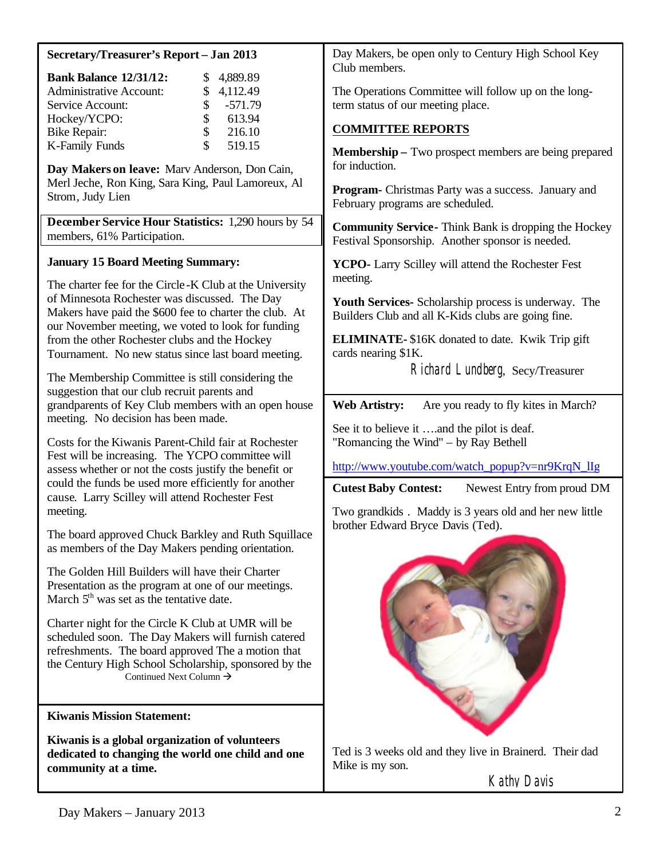| Secretary/Treasurer's Report - Jan 2013                                                                                                                                                                                                                                                                                                                                                                                         | Day Makers, be open only to Century High School Key                                                                                                                                                                                                                                                                                                                                      |  |
|---------------------------------------------------------------------------------------------------------------------------------------------------------------------------------------------------------------------------------------------------------------------------------------------------------------------------------------------------------------------------------------------------------------------------------|------------------------------------------------------------------------------------------------------------------------------------------------------------------------------------------------------------------------------------------------------------------------------------------------------------------------------------------------------------------------------------------|--|
| <b>Bank Balance 12/31/12:</b><br>4,889.89<br>\$<br><b>Administrative Account:</b><br>4,112.49<br>\$<br>$-571.79$<br>Service Account:<br>\$<br>Hockey/YCPO:<br>613.94<br>\$<br>216.10<br><b>Bike Repair:</b><br>\$<br>K-Family Funds<br>519.15<br>Day Makers on leave: Marv Anderson, Don Cain,<br>Merl Jeche, Ron King, Sara King, Paul Lamoreux, Al<br>Strom, Judy Lien<br>December Service Hour Statistics: 1,290 hours by 54 | Club members.<br>The Operations Committee will follow up on the long-<br>term status of our meeting place.<br><b>COMMITTEE REPORTS</b><br><b>Membership</b> – Two prospect members are being prepared<br>for induction.<br><b>Program-</b> Christmas Party was a success. January and<br>February programs are scheduled.<br><b>Community Service-</b> Think Bank is dropping the Hockey |  |
| members, 61% Participation.                                                                                                                                                                                                                                                                                                                                                                                                     | Festival Sponsorship. Another sponsor is needed.                                                                                                                                                                                                                                                                                                                                         |  |
| <b>January 15 Board Meeting Summary:</b><br>The charter fee for the Circle-K Club at the University                                                                                                                                                                                                                                                                                                                             | YCPO- Larry Scilley will attend the Rochester Fest<br>meeting.                                                                                                                                                                                                                                                                                                                           |  |
| of Minnesota Rochester was discussed. The Day<br>Makers have paid the \$600 fee to charter the club. At<br>our November meeting, we voted to look for funding                                                                                                                                                                                                                                                                   | <b>Youth Services-</b> Scholarship process is underway. The<br>Builders Club and all K-Kids clubs are going fine.                                                                                                                                                                                                                                                                        |  |
| from the other Rochester clubs and the Hockey<br>Tournament. No new status since last board meeting.                                                                                                                                                                                                                                                                                                                            | <b>ELIMINATE-</b> \$16K donated to date. Kwik Trip gift<br>cards nearing \$1K.                                                                                                                                                                                                                                                                                                           |  |
| The Membership Committee is still considering the<br>suggestion that our club recruit parents and                                                                                                                                                                                                                                                                                                                               | Richard Lundberg, Secy/Treasurer                                                                                                                                                                                                                                                                                                                                                         |  |
| grandparents of Key Club members with an open house<br>meeting. No decision has been made.                                                                                                                                                                                                                                                                                                                                      | <b>Web Artistry:</b><br>Are you ready to fly kites in March?<br>See it to believe it and the pilot is deaf.                                                                                                                                                                                                                                                                              |  |
| Costs for the Kiwanis Parent-Child fair at Rochester<br>Fest will be increasing. The YCPO committee will                                                                                                                                                                                                                                                                                                                        | "Romancing the Wind" – by Ray Bethell                                                                                                                                                                                                                                                                                                                                                    |  |
| assess whether or not the costs justify the benefit or<br>could the funds be used more efficiently for another<br>cause. Larry Scilley will attend Rochester Fest                                                                                                                                                                                                                                                               | http://www.youtube.com/watch_popup?v=nr9KrqN_lIg<br><b>Cutest Baby Contest:</b><br>Newest Entry from proud DM                                                                                                                                                                                                                                                                            |  |
| meeting.                                                                                                                                                                                                                                                                                                                                                                                                                        | Two grandkids. Maddy is 3 years old and her new little<br>brother Edward Bryce Davis (Ted).                                                                                                                                                                                                                                                                                              |  |
| The board approved Chuck Barkley and Ruth Squillace<br>as members of the Day Makers pending orientation.                                                                                                                                                                                                                                                                                                                        |                                                                                                                                                                                                                                                                                                                                                                                          |  |
| The Golden Hill Builders will have their Charter<br>Presentation as the program at one of our meetings.<br>March $5th$ was set as the tentative date.                                                                                                                                                                                                                                                                           |                                                                                                                                                                                                                                                                                                                                                                                          |  |
| Charter night for the Circle K Club at UMR will be<br>scheduled soon. The Day Makers will furnish catered<br>refreshments. The board approved The a motion that<br>the Century High School Scholarship, sponsored by the<br>Continued Next Column $\rightarrow$                                                                                                                                                                 |                                                                                                                                                                                                                                                                                                                                                                                          |  |
| <b>Kiwanis Mission Statement:</b>                                                                                                                                                                                                                                                                                                                                                                                               |                                                                                                                                                                                                                                                                                                                                                                                          |  |
| Kiwanis is a global organization of volunteers<br>dedicated to changing the world one child and one<br>community at a time.                                                                                                                                                                                                                                                                                                     | Ted is 3 weeks old and they live in Brainerd. Their dad<br>Mike is my son.                                                                                                                                                                                                                                                                                                               |  |
|                                                                                                                                                                                                                                                                                                                                                                                                                                 | Kathy Davis                                                                                                                                                                                                                                                                                                                                                                              |  |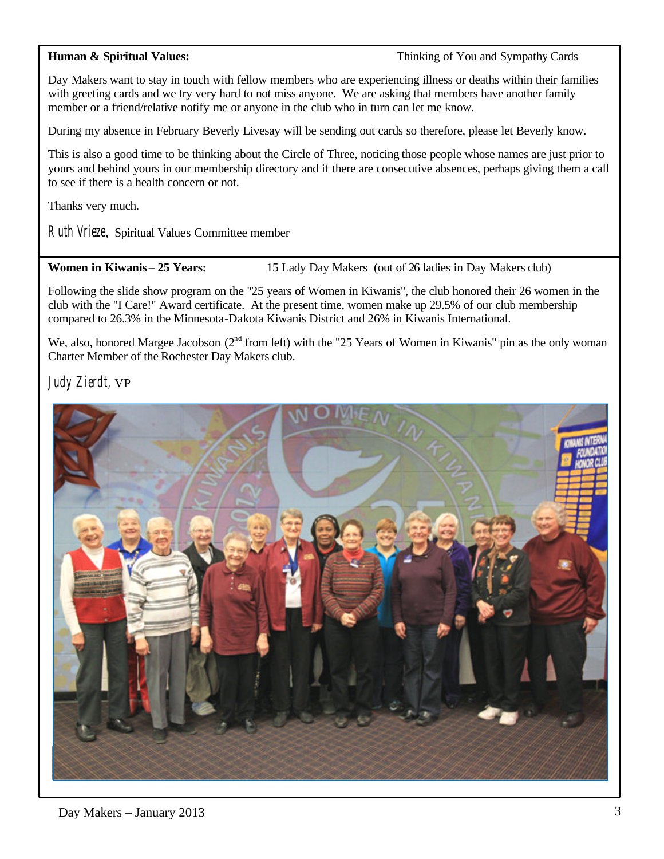**Human & Spiritual Values:**  $\bullet$  **Thinking of You and Sympathy Cards** 

Day Makers want to stay in touch with fellow members who are experiencing illness or deaths within their families with greeting cards and we try very hard to not miss anyone. We are asking that members have another family member or a friend/relative notify me or anyone in the club who in turn can let me know.

During my absence in February Beverly Livesay will be sending out cards so therefore, please let Beverly know.

This is also a good time to be thinking about the Circle of Three, noticing those people whose names are just prior to yours and behind yours in our membership directory and if there are consecutive absences, perhaps giving them a call to see if there is a health concern or not.

Thanks very much.

Ruth Vrieze, Spiritual Values Committee member

**Women in Kiwanis – 25 Years:** 15 Lady Day Makers (out of 26 ladies in Day Makers club)

Following the slide show program on the "25 years of Women in Kiwanis", the club honored their 26 women in the club with the "I Care!" Award certificate. At the present time, women make up 29.5% of our club membership compared to 26.3% in the Minnesota-Dakota Kiwanis District and 26% in Kiwanis International.

We, also, honored Margee Jacobson ( $2<sup>nd</sup>$  from left) with the "25 Years of Women in Kiwanis" pin as the only woman Charter Member of the Rochester Day Makers club.

Judy Zierdt, VP

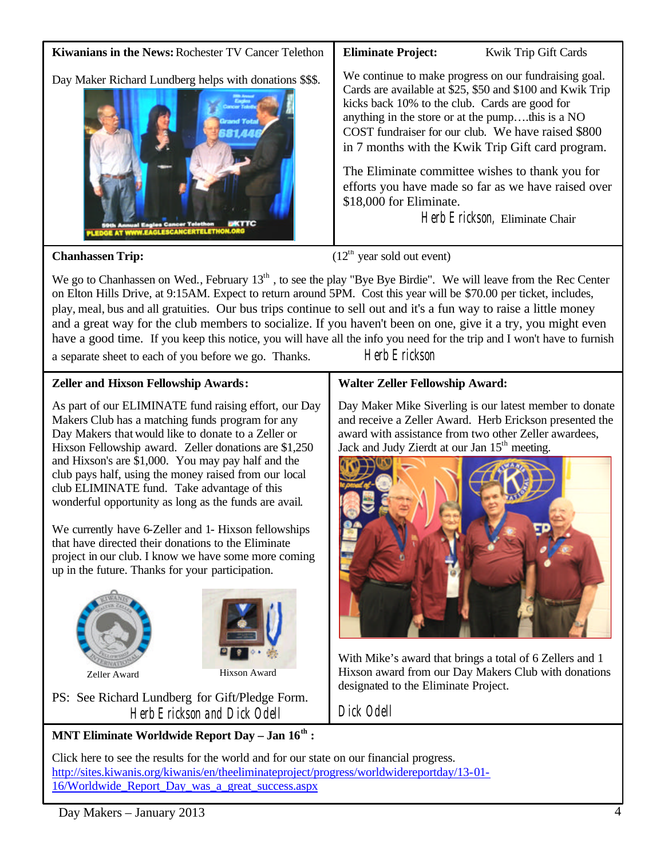

We go to Chanhassen on Wed., February 13<sup>th</sup>, to see the play "Bye Bye Birdie". We will leave from the Rec Center on Elton Hills Drive, at 9:15AM. Expect to return around 5PM. Cost this year will be \$70.00 per ticket, includes, play, meal, bus and all gratuities. Our bus trips continue to sell out and it's a fun way to raise a little money and a great way for the club members to socialize. If you haven't been on one, give it a try, you might even have a good time. If you keep this notice, you will have all the info you need for the trip and I won't have to furnish

a separate sheet to each of you before we go. Thanks. Herb Erickson

## **Zeller and Hixson Fellowship Awards:**

As part of our ELIMINATE fund raising effort, our Day Makers Club has a matching funds program for any Day Makers thatwould like to donate to a Zeller or Hixson Fellowship award. Zeller donations are \$1,250 and Hixson's are \$1,000. You may pay half and the club pays half, using the money raised from our local club ELIMINATE fund. Take advantage of this wonderful opportunity as long as the funds are avail.

We currently have 6-Zeller and 1- Hixson fellowships that have directed their donations to the Eliminate project in our club. I know we have some more coming up in the future. Thanks for your participation.





PS: See Richard Lundberg for Gift/Pledge Form. Herb Erickson and Dick Odell

# **MNT Eliminate Worldwide Report Day – Jan 16th :**

## Click here to see the results for the world and for our state on our financial progress. [http://sites.kiwanis.org/kiwanis/en/theeliminateproject/progress/worldwidereportday/13-01-](http://sites.kiwanis.org/kiwanis/en/theeliminateproject/progress/worldwidereportday/13-01-16/Worldwide_Report_Day_was_a_great_success.aspx) 16/Worldwide\_Report\_Day\_was\_a\_great\_success.aspx

## **Walter Zeller Fellowship Award:**

Day Maker Mike Siverling is our latest member to donate and receive a Zeller Award. Herb Erickson presented the award with assistance from two other Zeller awardees, Jack and Judy Zierdt at our Jan 15<sup>th</sup> meeting.



With Mike's award that brings a total of 6 Zellers and 1 Hixson award from our Day Makers Club with donations designated to the Eliminate Project.

Dick Odell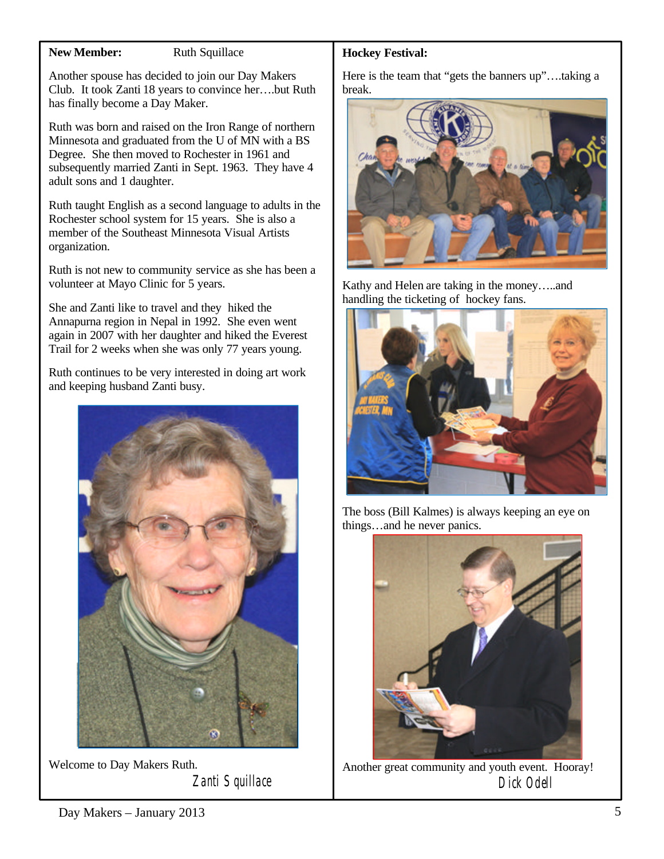### **New Member:** Ruth Squillace

Another spouse has decided to join our Day Makers Club. It took Zanti 18 years to convince her….but Ruth has finally become a Day Maker.

Ruth was born and raised on the Iron Range of northern Minnesota and graduated from the U of MN with a BS Degree. She then moved to Rochester in 1961 and subsequently married Zanti in Sept. 1963. They have 4 adult sons and 1 daughter.

Ruth taught English as a second language to adults in the Rochester school system for 15 years. She is also a member of the Southeast Minnesota Visual Artists organization.

Ruth is not new to community service as she has been a volunteer at Mayo Clinic for 5 years.

She and Zanti like to travel and they hiked the Annapurna region in Nepal in 1992. She even went again in 2007 with her daughter and hiked the Everest Trail for 2 weeks when she was only 77 years young.

Ruth continues to be very interested in doing art work and keeping husband Zanti busy.



Welcome to Day Makers Ruth. Zanti Squillace

## **Hockey Festival:**

Here is the team that "gets the banners up"….taking a break.



Kathy and Helen are taking in the money…..and handling the ticketing of hockey fans.



The boss (Bill Kalmes) is always keeping an eye on things…and he never panics.



Another great community and youth event. Hooray! Dick Odell